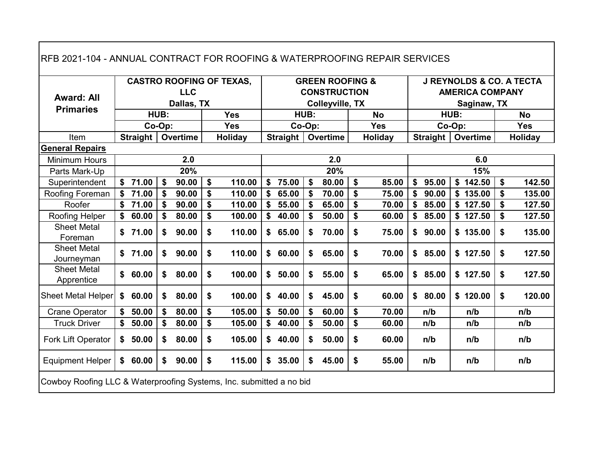| RFB 2021-104 - ANNUAL CONTRACT FOR ROOFING & WATERPROOFING REPAIR SERVICES |             |        |            |                   |                                 |             |        |                                                   |             |                 |      |                                                               |         |            |
|----------------------------------------------------------------------------|-------------|--------|------------|-------------------|---------------------------------|-------------|--------|---------------------------------------------------|-------------|-----------------|------|---------------------------------------------------------------|---------|------------|
| <b>Award: All</b>                                                          |             |        | <b>LLC</b> |                   | <b>CASTRO ROOFING OF TEXAS,</b> |             |        | <b>GREEN ROOFING &amp;</b><br><b>CONSTRUCTION</b> |             |                 |      | <b>J REYNOLDS &amp; CO. A TECTA</b><br><b>AMERICA COMPANY</b> |         |            |
| <b>Primaries</b>                                                           |             |        | Dallas, TX |                   |                                 |             |        | <b>Colleyville, TX</b>                            |             |                 |      | Saginaw, TX                                                   |         |            |
|                                                                            |             | HUB:   |            |                   | <b>Yes</b>                      |             | HUB:   |                                                   | <b>No</b>   |                 | HUB: |                                                               |         | <b>No</b>  |
|                                                                            |             | Co-Op: |            |                   | <b>Yes</b>                      |             | Co-Op: |                                                   | <b>Yes</b>  | Co-Op:          |      |                                                               |         | <b>Yes</b> |
| Item                                                                       | Straight    |        | Overtime   |                   | Holiday                         | Straight    |        | Overtime                                          | Holiday     | <b>Straight</b> |      | <b>Overtime</b>                                               | Holiday |            |
| <b>General Repairs</b>                                                     |             |        |            |                   |                                 |             |        |                                                   |             |                 |      |                                                               |         |            |
| <b>Minimum Hours</b>                                                       |             |        | 2.0        |                   |                                 |             |        | 2.0                                               |             |                 |      | 6.0                                                           |         |            |
| Parts Mark-Up                                                              |             |        | 20%        |                   |                                 |             |        | 20%                                               |             |                 |      | 15%                                                           |         |            |
| Superintendent                                                             | \$<br>71.00 | \$     | 90.00      | $\boldsymbol{\$}$ | 110.00                          | \$<br>75.00 | \$     | 80.00                                             | \$<br>85.00 | \$<br>95.00     |      | \$142.50                                                      | \$      | 142.50     |
| Roofing Foreman                                                            | \$<br>71.00 | \$     | 90.00      | \$                | 110.00                          | \$<br>65.00 | \$     | 70.00                                             | \$<br>75.00 | \$<br>90.00     |      | \$135.00                                                      | \$      | 135.00     |
| Roofer                                                                     | \$<br>71.00 | \$     | 90.00      | \$                | 110.00                          | \$<br>55.00 | \$     | 65.00                                             | \$<br>70.00 | \$<br>85.00     |      | \$127.50                                                      | \$      | 127.50     |
| Roofing Helper                                                             | \$<br>60.00 | \$     | 80.00      | \$                | 100.00                          | \$<br>40.00 | \$     | 50.00                                             | \$<br>60.00 | \$<br>85.00     |      | \$127.50                                                      | \$      | 127.50     |
| <b>Sheet Metal</b><br>Foreman                                              | \$<br>71.00 | \$     | 90.00      | \$                | 110.00                          | \$<br>65.00 | \$     | 70.00                                             | \$<br>75.00 | \$90.00         |      | \$135.00                                                      | \$      | 135.00     |
| <b>Sheet Metal</b><br>Journeyman                                           | \$71.00     | \$     | 90.00      | \$                | 110.00                          | \$<br>60.00 | \$     | 65.00                                             | \$<br>70.00 | \$85.00         |      | \$127.50                                                      | \$      | 127.50     |
| <b>Sheet Metal</b><br>Apprentice                                           | \$<br>60.00 | \$     | 80.00      | \$                | 100.00                          | \$<br>50.00 | \$     | 55.00                                             | \$<br>65.00 | \$85.00         |      | \$127.50                                                      | \$      | 127.50     |
| Sheet Metal Helper                                                         | \$<br>60.00 | \$     | 80.00      | \$                | 100.00                          | \$<br>40.00 | \$     | 45.00                                             | \$<br>60.00 | \$80.00         |      | \$120.00                                                      | \$      | 120.00     |
| <b>Crane Operator</b>                                                      | \$<br>50.00 | \$     | 80.00      | \$                | 105.00                          | \$<br>50.00 | \$     | 60.00                                             | \$<br>70.00 | n/b             |      | n/b                                                           |         | n/b        |
| <b>Truck Driver</b>                                                        | \$<br>50.00 | \$     | 80.00      | \$                | 105.00                          | \$<br>40.00 | \$     | 50.00                                             | \$<br>60.00 | n/b             |      | n/b                                                           |         | n/b        |
| Fork Lift Operator                                                         | \$<br>50.00 | \$     | 80.00      | \$                | 105.00                          | \$40.00     | \$     | 50.00                                             | \$<br>60.00 | n/b             |      | n/b                                                           |         | n/b        |
| <b>Equipment Helper</b>                                                    | \$<br>60.00 | \$     | 90.00      | \$                | 115.00                          | \$<br>35.00 | \$     | 45.00                                             | \$<br>55.00 | n/b             |      | n/b                                                           |         | n/b        |
| Cowboy Roofing LLC & Waterproofing Systems, Inc. submitted a no bid        |             |        |            |                   |                                 |             |        |                                                   |             |                 |      |                                                               |         |            |

 $\mathbf{I}$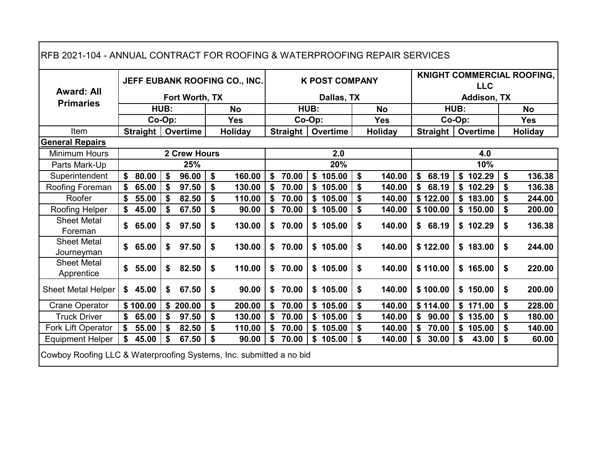| RFB 2021-104 - ANNUAL CONTRACT FOR ROOFING & WATERPROOFING REPAIR SERVICES |             |     |                     |                               |             |      |                       |              |             |      |             |                                   |
|----------------------------------------------------------------------------|-------------|-----|---------------------|-------------------------------|-------------|------|-----------------------|--------------|-------------|------|-------------|-----------------------------------|
| <b>Award: All</b>                                                          |             |     |                     | JEFF EUBANK ROOFING CO., INC. |             |      | <b>K POST COMPANY</b> |              |             |      | <b>LLC</b>  | <b>KNIGHT COMMERCIAL ROOFING,</b> |
| <b>Primaries</b>                                                           |             |     | Fort Worth, TX      |                               |             |      | Dallas, TX            |              |             |      | Addison, TX |                                   |
|                                                                            | HUB:        |     |                     | <b>No</b>                     |             | HUB: |                       | <b>No</b>    |             | HUB: |             | <b>No</b>                         |
|                                                                            | Co-Op:      |     |                     | <b>Yes</b>                    | Co-Op:      |      |                       | <b>Yes</b>   | Co-Op:      |      |             | <b>Yes</b>                        |
| Item                                                                       | Straight    |     | Overtime            | Holiday                       | Straight    |      | Overtime              | Holiday      | Straight    |      | Overtime    | Holiday                           |
| <b>General Repairs</b>                                                     |             |     |                     |                               |             |      |                       |              |             |      |             |                                   |
| Minimum Hours                                                              |             |     | <b>2 Crew Hours</b> |                               |             |      | 2.0                   |              |             |      | 4.0         |                                   |
| Parts Mark-Up                                                              |             |     | 25%                 |                               |             |      | 20%                   |              |             |      | 10%         |                                   |
| Superintendent                                                             | \$<br>80.00 | \$  | 96.00               | \$<br>160.00                  | \$<br>70.00 | \$   | 105.00                | \$<br>140.00 | \$<br>68.19 |      | \$102.29    | \$<br>136.38                      |
| Roofing Foreman                                                            | \$<br>65.00 | \$  | 97.50               | \$<br>130.00                  | \$<br>70.00 |      | \$105.00              | \$<br>140.00 | \$<br>68.19 |      | \$102.29    | \$<br>136.38                      |
| Roofer                                                                     | 55.00       | \$  | 82.50               | \$<br>110.00                  | \$<br>70.00 |      | \$105.00              | \$<br>140.00 | \$122.00    |      | \$183.00    | \$<br>244.00                      |
| Roofing Helper                                                             | 45.00       |     | 67.50               | \$<br>90.00                   | \$<br>70.00 |      | \$105.00              | \$<br>140.00 | \$100.00    |      | \$150.00    | \$<br>200.00                      |
| <b>Sheet Metal</b><br>Foreman                                              | 65.00       | \$  | 97.50               | \$<br>130.00                  | \$<br>70.00 |      | \$105.00              | \$<br>140.00 | \$68.19     |      | \$102.29    | \$<br>136.38                      |
| <b>Sheet Metal</b><br>Journeyman                                           | \$<br>65.00 | \$  | 97.50               | \$<br>130.00                  | \$70.00     |      | \$105.00              | \$<br>140.00 | \$122.00    |      | \$183.00    | \$<br>244.00                      |
| <b>Sheet Metal</b><br>Apprentice                                           | 55.00       | \$  | 82.50               | \$<br>110.00                  | \$<br>70.00 |      | \$105.00              | \$<br>140.00 | \$110.00    |      | \$165.00    | \$<br>220.00                      |
| <b>Sheet Metal Helper</b>                                                  | \$45.00     | \$  | 67.50               | \$<br>90.00                   | \$<br>70.00 |      | \$105.00              | \$<br>140.00 | \$100.00    |      | \$150.00    | \$<br>200.00                      |
| <b>Crane Operator</b>                                                      | \$100.00    |     | \$200.00            | \$<br>200.00                  | \$<br>70.00 |      | \$105.00              | \$<br>140.00 | \$114.00    |      | \$171.00    | \$<br>228.00                      |
| <b>Truck Driver</b>                                                        | 65.00       | -\$ | 97.50               | \$<br>130.00                  | \$<br>70.00 |      | \$105.00              | \$<br>140.00 | \$<br>90.00 |      | \$135.00    | \$<br>180.00                      |
| Fork Lift Operator                                                         | 55.00       |     | 82.50               | 110.00                        | \$<br>70.00 | \$   | 105.00                | \$<br>140.00 | \$<br>70.00 |      | \$105.00    | 140.00                            |
| <b>Equipment Helper</b>                                                    | \$<br>45.00 | \$  | 67.50               | \$<br>90.00                   | \$<br>70.00 | \$   | 105.00                | \$<br>140.00 | \$<br>30.00 | \$   | 43.00       | \$<br>60.00                       |
| Cowboy Roofing LLC & Waterproofing Systems, Inc. submitted a no bid        |             |     |                     |                               |             |      |                       |              |             |      |             |                                   |

Г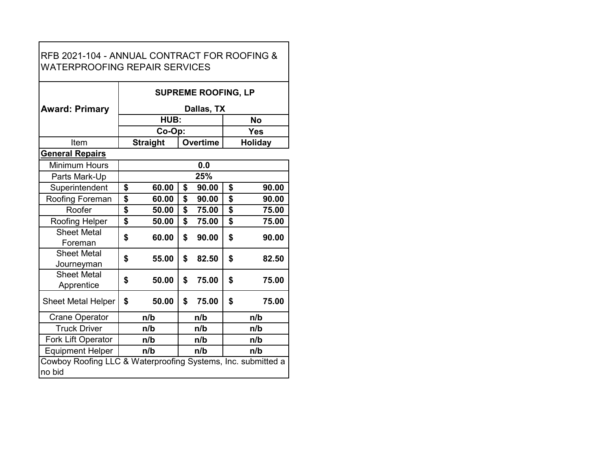|                                                              |                 | <b>SUPREME ROOFING, LP</b> |             |
|--------------------------------------------------------------|-----------------|----------------------------|-------------|
| <b>Award: Primary</b>                                        |                 | Dallas, TX                 |             |
|                                                              | HUB:            |                            | <b>No</b>   |
|                                                              | Co-Op:          |                            | Yes         |
| Item                                                         | <b>Straight</b> | <b>Overtime</b>            | Holiday     |
| <b>General Repairs</b>                                       |                 |                            |             |
| <b>Minimum Hours</b>                                         |                 | 0.0                        |             |
| Parts Mark-Up                                                |                 | 25%                        |             |
| Superintendent                                               | \$<br>60.00     | \$<br>90.00                | \$<br>90.00 |
| Roofing Foreman                                              | \$<br>60.00     | \$<br>90.00                | \$<br>90.00 |
| Roofer                                                       | \$<br>50.00     | \$<br>75.00                | \$<br>75.00 |
| Roofing Helper                                               | \$<br>50.00     | \$<br>75.00                | \$<br>75.00 |
| <b>Sheet Metal</b>                                           | \$<br>60.00     | \$<br>90.00                | \$<br>90.00 |
| Foreman                                                      |                 |                            |             |
| <b>Sheet Metal</b>                                           | \$<br>55.00     | \$<br>82.50                | \$<br>82.50 |
| Journeyman                                                   |                 |                            |             |
| <b>Sheet Metal</b>                                           | \$<br>50.00     | \$<br>75.00                | \$<br>75.00 |
| Apprentice                                                   |                 |                            |             |
| <b>Sheet Metal Helper</b>                                    | \$<br>50.00     | \$<br>75.00                | \$<br>75.00 |
| <b>Crane Operator</b>                                        | n/b             | n/b                        | n/b         |
| <b>Truck Driver</b>                                          | n/b             | n/b                        | n/b         |
| Fork Lift Operator                                           | n/b             | n/b                        | n/b         |
| <b>Equipment Helper</b>                                      | n/b             | n/b                        | n/b         |
| Cowboy Roofing LLC & Waterproofing Systems, Inc. submitted a |                 |                            |             |
| no bid                                                       |                 |                            |             |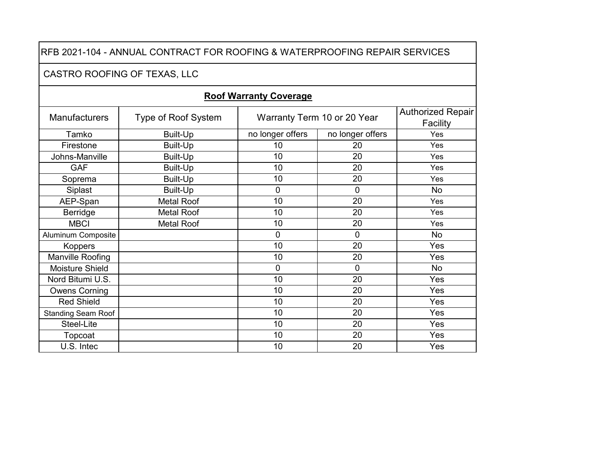#### CASTRO ROOFING OF TEXAS, LLC

| <b>Manufacturers</b>      | Type of Roof System |                  | Warranty Term 10 or 20 Year | <b>Authorized Repair</b><br>Facility |
|---------------------------|---------------------|------------------|-----------------------------|--------------------------------------|
| Tamko                     | Built-Up            | no longer offers | no longer offers            | Yes                                  |
| Firestone                 | Built-Up            | 10               | 20                          | Yes                                  |
| Johns-Manville            | Built-Up            | 10               | 20                          | Yes                                  |
| <b>GAF</b>                | Built-Up            | 10               | 20                          | Yes                                  |
| Soprema                   | Built-Up            | 10               | 20                          | Yes                                  |
| Siplast                   | Built-Up            | $\overline{0}$   | 0                           | <b>No</b>                            |
| AEP-Span                  | <b>Metal Roof</b>   | 10               | 20                          | Yes                                  |
| Berridge                  | <b>Metal Roof</b>   | 10               | 20                          | Yes                                  |
| <b>MBCI</b>               | <b>Metal Roof</b>   | 10               | 20                          | Yes                                  |
| <b>Aluminum Composite</b> |                     | $\overline{0}$   | 0                           | <b>No</b>                            |
| <b>Koppers</b>            |                     | 10               | 20                          | Yes                                  |
| Manville Roofing          |                     | 10               | 20                          | Yes                                  |
| Moisture Shield           |                     | $\overline{0}$   | 0                           | <b>No</b>                            |
| Nord Bitumi U.S.          |                     | 10               | 20                          | Yes                                  |
| <b>Owens Corning</b>      |                     | 10               | 20                          | Yes                                  |
| <b>Red Shield</b>         |                     | 10               | 20                          | Yes                                  |
| <b>Standing Seam Roof</b> |                     | 10               | 20                          | Yes                                  |
| Steel-Lite                |                     | 10               | 20                          | Yes                                  |
| Topcoat                   |                     | 10               | 20                          | Yes                                  |
| U.S. Intec                |                     | 10               | 20                          | Yes                                  |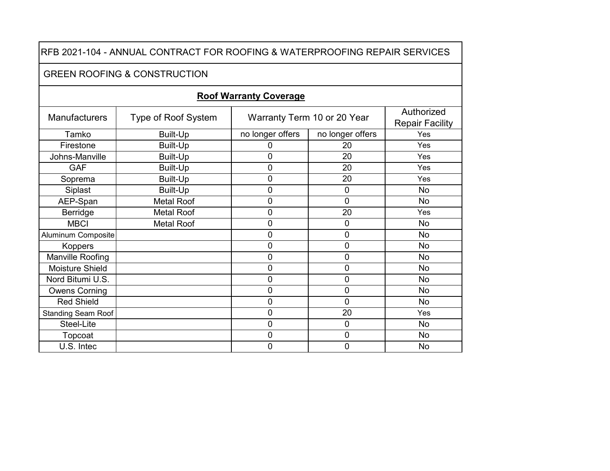#### GREEN ROOFING & CONSTRUCTION

| <b>Manufacturers</b>      | <b>Type of Roof System</b> |                  | Warranty Term 10 or 20 Year | Authorized<br><b>Repair Facility</b> |
|---------------------------|----------------------------|------------------|-----------------------------|--------------------------------------|
| Tamko                     | <b>Built-Up</b>            | no longer offers | no longer offers            | Yes                                  |
| Firestone                 | <b>Built-Up</b>            | 0                | 20                          | Yes                                  |
| Johns-Manville            | <b>Built-Up</b>            | 0                | 20                          | Yes                                  |
| <b>GAF</b>                | <b>Built-Up</b>            | 0                | 20                          | Yes                                  |
| Soprema                   | <b>Built-Up</b>            | 0                | 20                          | Yes                                  |
| Siplast                   | <b>Built-Up</b>            | 0                | 0                           | <b>No</b>                            |
| AEP-Span                  | <b>Metal Roof</b>          | 0                | 0                           | <b>No</b>                            |
| Berridge                  | <b>Metal Roof</b>          | 0                | 20                          | Yes                                  |
| <b>MBCI</b>               | <b>Metal Roof</b>          | 0                | 0                           | <b>No</b>                            |
| Aluminum Composite        |                            | 0                | 0                           | No                                   |
| <b>Koppers</b>            |                            | 0                | 0                           | <b>No</b>                            |
| Manville Roofing          |                            | $\overline{0}$   | 0                           | <b>No</b>                            |
| Moisture Shield           |                            | 0                | 0                           | <b>No</b>                            |
| Nord Bitumi U.S.          |                            | $\overline{0}$   | 0                           | No                                   |
| <b>Owens Corning</b>      |                            | $\overline{0}$   | 0                           | <b>No</b>                            |
| <b>Red Shield</b>         |                            | 0                | 0                           | No                                   |
| <b>Standing Seam Roof</b> |                            | 0                | 20                          | Yes                                  |
| Steel-Lite                |                            | $\overline{0}$   | $\overline{0}$              | <b>No</b>                            |
| Topcoat                   |                            | 0                | 0                           | No                                   |
| U.S. Intec                |                            | 0                | 0                           | No                                   |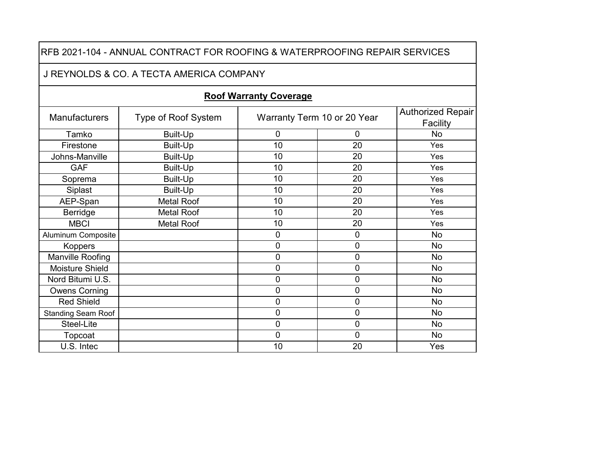|                           | RFB 2021-104 - ANNUAL CONTRACT FOR ROOFING & WATERPROOFING REPAIR SERVICES |                               |                             |                                      |
|---------------------------|----------------------------------------------------------------------------|-------------------------------|-----------------------------|--------------------------------------|
|                           | J REYNOLDS & CO. A TECTA AMERICA COMPANY                                   |                               |                             |                                      |
|                           |                                                                            | <b>Roof Warranty Coverage</b> |                             |                                      |
| <b>Manufacturers</b>      | Type of Roof System                                                        |                               | Warranty Term 10 or 20 Year | <b>Authorized Repair</b><br>Facility |
| Tamko                     | <b>Built-Up</b>                                                            | $\mathbf 0$                   | 0                           | <b>No</b>                            |
| Firestone                 | <b>Built-Up</b>                                                            | 10                            | 20                          | Yes                                  |
| Johns-Manville            | <b>Built-Up</b>                                                            | 10                            | 20                          | Yes                                  |
| <b>GAF</b>                | <b>Built-Up</b>                                                            | 10                            | 20                          | Yes                                  |
| Soprema                   | <b>Built-Up</b>                                                            | 10                            | 20                          | Yes                                  |
| Siplast                   | Built-Up                                                                   | 10                            | 20                          | Yes                                  |
| AEP-Span                  | <b>Metal Roof</b>                                                          | 10                            | 20                          | Yes                                  |
| Berridge                  | <b>Metal Roof</b>                                                          | 10                            | 20                          | Yes                                  |
| <b>MBCI</b>               | <b>Metal Roof</b>                                                          | 10                            | 20                          | Yes                                  |
| <b>Aluminum Composite</b> |                                                                            | $\mathbf 0$                   | 0                           | <b>No</b>                            |
| <b>Koppers</b>            |                                                                            | $\mathbf 0$                   | 0                           | <b>No</b>                            |
| Manville Roofing          |                                                                            | $\mathbf 0$                   | 0                           | <b>No</b>                            |
| <b>Moisture Shield</b>    |                                                                            | $\mathbf 0$                   | 0                           | <b>No</b>                            |
| Nord Bitumi U.S.          |                                                                            | $\overline{0}$                | 0                           | <b>No</b>                            |
| <b>Owens Corning</b>      |                                                                            | 0                             | 0                           | <b>No</b>                            |
| <b>Red Shield</b>         |                                                                            | $\mathbf 0$                   | 0                           | <b>No</b>                            |
| <b>Standing Seam Roof</b> |                                                                            | $\mathbf 0$                   | 0                           | <b>No</b>                            |
| Steel-Lite                |                                                                            | $\overline{0}$                | 0                           | <b>No</b>                            |
| Topcoat                   |                                                                            | $\mathbf 0$                   | 0                           | <b>No</b>                            |
| U.S. Intec                |                                                                            | 10                            | 20                          | Yes                                  |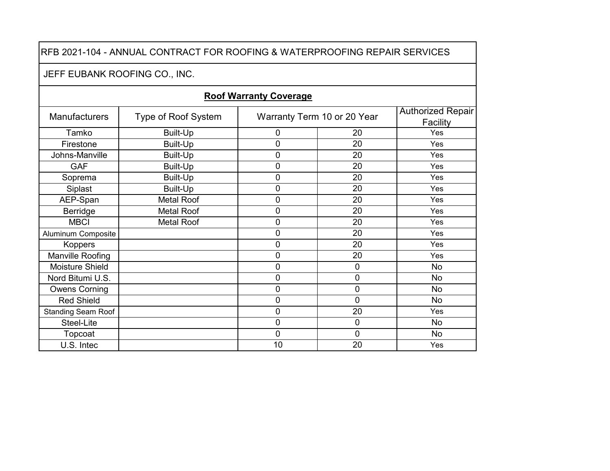# JEFF EUBANK ROOFING CO., INC.

| Manufacturers             | Type of Roof System |    | Warranty Term 10 or 20 Year | Authorized Repair<br>Facility |
|---------------------------|---------------------|----|-----------------------------|-------------------------------|
| Tamko                     | Built-Up            | 0  | 20                          | Yes                           |
| Firestone                 | Built-Up            | 0  | 20                          | Yes                           |
| Johns-Manville            | <b>Built-Up</b>     | 0  | 20                          | Yes                           |
| <b>GAF</b>                | <b>Built-Up</b>     | 0  | 20                          | Yes                           |
| Soprema                   | <b>Built-Up</b>     | 0  | 20                          | Yes                           |
| Siplast                   | Built-Up            | 0  | 20                          | Yes                           |
| AEP-Span                  | <b>Metal Roof</b>   | 0  | 20                          | Yes                           |
| Berridge                  | <b>Metal Roof</b>   | 0  | 20                          | Yes                           |
| <b>MBCI</b>               | <b>Metal Roof</b>   | 0  | 20                          | Yes                           |
| <b>Aluminum Composite</b> |                     | 0  | 20                          | Yes                           |
| <b>Koppers</b>            |                     | 0  | 20                          | Yes                           |
| Manville Roofing          |                     | 0  | 20                          | Yes                           |
| Moisture Shield           |                     | 0  | 0                           | <b>No</b>                     |
| Nord Bitumi U.S.          |                     | 0  | $\mathbf 0$                 | <b>No</b>                     |
| <b>Owens Corning</b>      |                     | 0  | $\mathbf 0$                 | <b>No</b>                     |
| <b>Red Shield</b>         |                     | 0  | 0                           | <b>No</b>                     |
| <b>Standing Seam Roof</b> |                     | 0  | 20                          | Yes                           |
| Steel-Lite                |                     | 0  | $\mathbf 0$                 | <b>No</b>                     |
| Topcoat                   |                     | 0  | $\mathbf 0$                 | <b>No</b>                     |
| U.S. Intec                |                     | 10 | 20                          | Yes                           |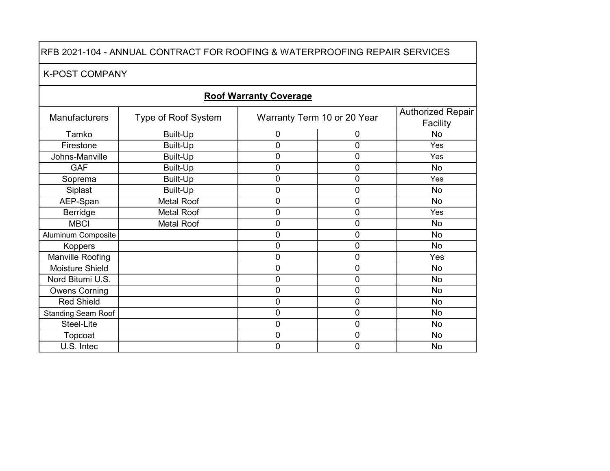#### K-POST COMPANY

| <b>Manufacturers</b>      | Type of Roof System |                | Warranty Term 10 or 20 Year | <b>Authorized Repair</b><br>Facility |
|---------------------------|---------------------|----------------|-----------------------------|--------------------------------------|
| Tamko                     | Built-Up            | $\overline{0}$ | 0                           | <b>No</b>                            |
| Firestone                 | Built-Up            | 0              | $\mathbf 0$                 | Yes                                  |
| Johns-Manville            | Built-Up            | $\overline{0}$ | $\mathbf 0$                 | Yes                                  |
| <b>GAF</b>                | Built-Up            | 0              | 0                           | <b>No</b>                            |
| Soprema                   | Built-Up            | 0              | $\mathbf 0$                 | Yes                                  |
| Siplast                   | Built-Up            | $\overline{0}$ | $\mathbf 0$                 | <b>No</b>                            |
| AEP-Span                  | <b>Metal Roof</b>   | $\overline{0}$ | $\mathbf 0$                 | <b>No</b>                            |
| Berridge                  | <b>Metal Roof</b>   | 0              | 0                           | Yes                                  |
| <b>MBCI</b>               | <b>Metal Roof</b>   | $\mathbf 0$    | $\mathbf 0$                 | <b>No</b>                            |
| <b>Aluminum Composite</b> |                     | 0              | 0                           | <b>No</b>                            |
| <b>Koppers</b>            |                     | 0              | 0                           | <b>No</b>                            |
| Manville Roofing          |                     | $\mathbf 0$    | $\mathbf 0$                 | Yes                                  |
| Moisture Shield           |                     | 0              | $\mathbf 0$                 | <b>No</b>                            |
| Nord Bitumi U.S.          |                     | $\overline{0}$ | 0                           | No                                   |
| <b>Owens Corning</b>      |                     | $\overline{0}$ | $\mathbf 0$                 | <b>No</b>                            |
| <b>Red Shield</b>         |                     | 0              | $\mathbf 0$                 | <b>No</b>                            |
| <b>Standing Seam Roof</b> |                     | $\overline{0}$ | 0                           | No                                   |
| Steel-Lite                |                     | $\overline{0}$ | $\mathbf 0$                 | <b>No</b>                            |
| Topcoat                   |                     | $\mathbf 0$    | $\mathbf 0$                 | <b>No</b>                            |
| U.S. Intec                |                     | 0              | $\mathbf 0$                 | No                                   |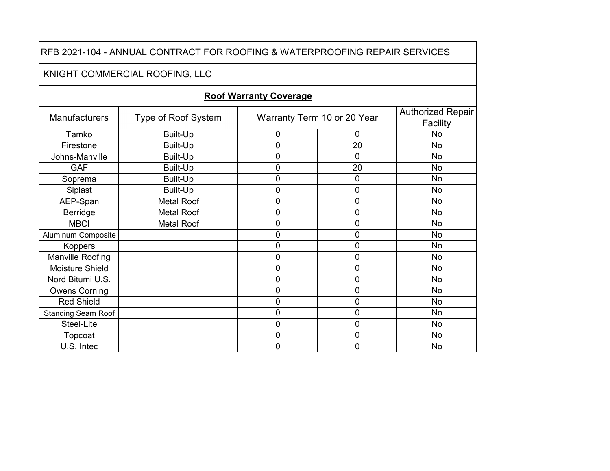#### KNIGHT COMMERCIAL ROOFING, LLC

| <b>Manufacturers</b>      | Type of Roof System |   | Warranty Term 10 or 20 Year | <b>Authorized Repair</b><br>Facility |
|---------------------------|---------------------|---|-----------------------------|--------------------------------------|
| Tamko                     | Built-Up            | 0 | 0                           | No.                                  |
| Firestone                 | Built-Up            | 0 | 20                          | <b>No</b>                            |
| Johns-Manville            | <b>Built-Up</b>     | 0 | 0                           | <b>No</b>                            |
| <b>GAF</b>                | <b>Built-Up</b>     | 0 | 20                          | <b>No</b>                            |
| Soprema                   | Built-Up            | 0 | 0                           | <b>No</b>                            |
| Siplast                   | Built-Up            | 0 | 0                           | <b>No</b>                            |
| AEP-Span                  | <b>Metal Roof</b>   | 0 | 0                           | <b>No</b>                            |
| Berridge                  | <b>Metal Roof</b>   | 0 | 0                           | <b>No</b>                            |
| <b>MBCI</b>               | <b>Metal Roof</b>   | 0 | 0                           | <b>No</b>                            |
| <b>Aluminum Composite</b> |                     | 0 | $\mathbf 0$                 | <b>No</b>                            |
| Koppers                   |                     | 0 | 0                           | <b>No</b>                            |
| Manville Roofing          |                     | 0 | 0                           | <b>No</b>                            |
| Moisture Shield           |                     | 0 | 0                           | <b>No</b>                            |
| Nord Bitumi U.S.          |                     | 0 | 0                           | <b>No</b>                            |
| <b>Owens Corning</b>      |                     | 0 | 0                           | <b>No</b>                            |
| <b>Red Shield</b>         |                     | 0 | $\mathbf 0$                 | <b>No</b>                            |
| <b>Standing Seam Roof</b> |                     | 0 | 0                           | <b>No</b>                            |
| Steel-Lite                |                     | 0 | 0                           | <b>No</b>                            |
| Topcoat                   |                     | 0 | 0                           | <b>No</b>                            |
| U.S. Intec                |                     | 0 | 0                           | No                                   |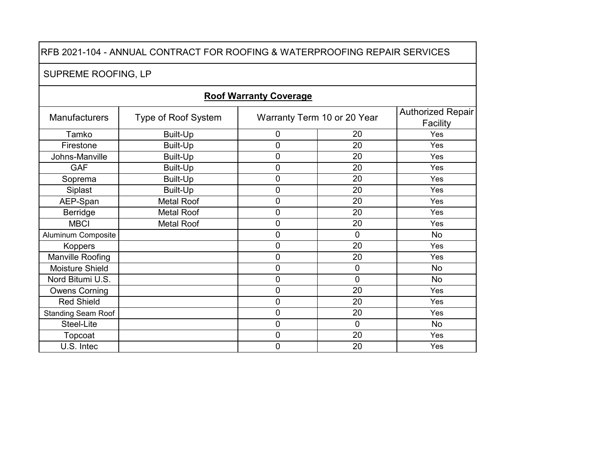# SUPREME ROOFING, LP

| <b>Manufacturers</b>      | Type of Roof System |   | Warranty Term 10 or 20 Year | <b>Authorized Repair</b><br>Facility |
|---------------------------|---------------------|---|-----------------------------|--------------------------------------|
| Tamko                     | Built-Up            | 0 | 20                          | Yes                                  |
| Firestone                 | Built-Up            | 0 | 20                          | Yes                                  |
| Johns-Manville            | Built-Up            | 0 | 20                          | Yes                                  |
| <b>GAF</b>                | <b>Built-Up</b>     | 0 | 20                          | Yes                                  |
| Soprema                   | Built-Up            | 0 | 20                          | Yes                                  |
| Siplast                   | Built-Up            | 0 | 20                          | Yes                                  |
| AEP-Span                  | <b>Metal Roof</b>   | 0 | 20                          | Yes                                  |
| Berridge                  | <b>Metal Roof</b>   | 0 | 20                          | Yes                                  |
| <b>MBCI</b>               | <b>Metal Roof</b>   | 0 | 20                          | Yes                                  |
| Aluminum Composite        |                     | 0 | 0                           | <b>No</b>                            |
| Koppers                   |                     | 0 | 20                          | Yes                                  |
| Manville Roofing          |                     | 0 | 20                          | Yes                                  |
| Moisture Shield           |                     | 0 | 0                           | <b>No</b>                            |
| Nord Bitumi U.S.          |                     | 0 | 0                           | <b>No</b>                            |
| <b>Owens Corning</b>      |                     | 0 | 20                          | Yes                                  |
| <b>Red Shield</b>         |                     | 0 | 20                          | Yes                                  |
| <b>Standing Seam Roof</b> |                     | 0 | 20                          | Yes                                  |
| Steel-Lite                |                     | 0 | $\overline{0}$              | <b>No</b>                            |
| Topcoat                   |                     | 0 | 20                          | Yes                                  |
| U.S. Intec                |                     | 0 | 20                          | Yes                                  |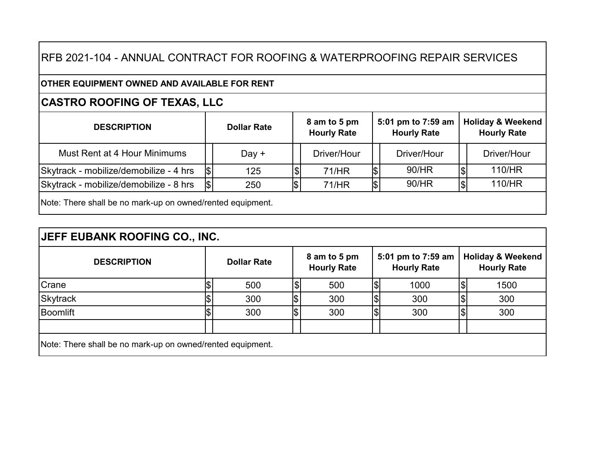#### **OTHER EQUIPMENT OWNED AND AVAILABLE FOR RENT**

# **CASTRO ROOFING OF TEXAS, LLC**

| <b>DESCRIPTION</b>                                         | <b>Dollar Rate</b> |          | 8 am to 5 pm<br><b>Hourly Rate</b> | 5:01 pm to 7:59 am<br><b>Hourly Rate</b> |     | <b>Holiday &amp; Weekend</b><br><b>Hourly Rate</b> |
|------------------------------------------------------------|--------------------|----------|------------------------------------|------------------------------------------|-----|----------------------------------------------------|
| Must Rent at 4 Hour Minimums                               | Day $+$            |          | Driver/Hour                        | Driver/Hour                              |     | Driver/Hour                                        |
| Skytrack - mobilize/demobilize - 4 hrs                     | 125                | $\Theta$ | 71/HR                              | 90/HR                                    |     | 110/HR                                             |
| Skytrack - mobilize/demobilize - 8 hrs                     | 250                | \$       | 71/HR                              | 90/HR                                    | 1\$ | 110/HR                                             |
| Note: There shall be no mark-up on owned/rented equipment. |                    |          |                                    |                                          |     |                                                    |

| <b>DESCRIPTION</b> | <b>Dollar Rate</b> | 8 am to 5 pm<br><b>Hourly Rate</b> | 5:01 pm to 7:59 am<br><b>Hourly Rate</b> | <b>Holiday &amp; Weekend</b><br><b>Hourly Rate</b> |
|--------------------|--------------------|------------------------------------|------------------------------------------|----------------------------------------------------|
| Crane              | 500                | 500                                | 1000                                     | 1500                                               |
| <b>Skytrack</b>    | 300                | \$<br>300                          | 300                                      | 300                                                |
| Boomlift           | 300                | \$<br>300                          | 300                                      | 300                                                |
|                    |                    |                                    |                                          |                                                    |